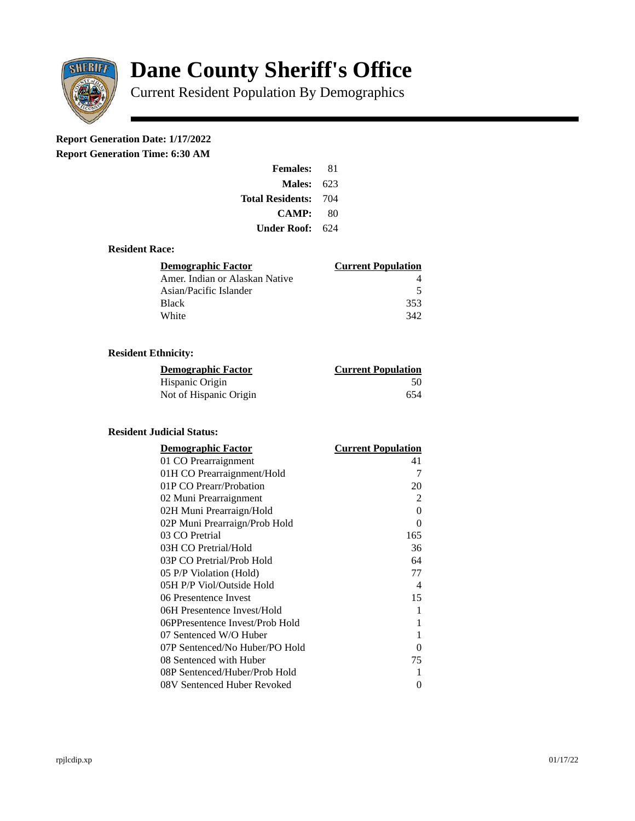

# **Dane County Sheriff's Office**

Current Resident Population By Demographics

# **Report Generation Date: 1/17/2022**

**Report Generation Time: 6:30 AM** 

| <b>Females:</b>         | 81  |
|-------------------------|-----|
| Males:                  | 623 |
| <b>Total Residents:</b> | 704 |
| <b>CAMP:</b>            | 80  |
| Under Roof: \           | 624 |

### **Resident Race:**

| Demographic Factor             | <b>Current Population</b> |
|--------------------------------|---------------------------|
| Amer. Indian or Alaskan Native |                           |
| Asian/Pacific Islander         | .5                        |
| Black                          | 353                       |
| White                          | 342                       |

# **Resident Ethnicity:**

| <u> Demographic Factor</u> | <b>Current Population</b> |
|----------------------------|---------------------------|
| Hispanic Origin            | 50                        |
| Not of Hispanic Origin     | 654                       |

#### **Resident Judicial Status:**

| <b>Demographic Factor</b>       | <b>Current Population</b> |
|---------------------------------|---------------------------|
| 01 CO Prearraignment            | 41                        |
| 01H CO Prearraignment/Hold      | 7                         |
| 01P CO Prearr/Probation         | 20                        |
| 02 Muni Prearraignment          | $\overline{2}$            |
| 02H Muni Prearraign/Hold        | $\Omega$                  |
| 02P Muni Prearraign/Prob Hold   | $\Omega$                  |
| 03 CO Pretrial                  | 165                       |
| 03H CO Pretrial/Hold            | 36                        |
| 03P CO Pretrial/Prob Hold       | 64                        |
| 05 P/P Violation (Hold)         | 77                        |
| 05H P/P Viol/Outside Hold       | $\overline{4}$            |
| 06 Presentence Invest           | 15                        |
| 06H Presentence Invest/Hold     | 1                         |
| 06PPresentence Invest/Prob Hold | 1                         |
| 07 Sentenced W/O Huber          | 1                         |
| 07P Sentenced/No Huber/PO Hold  | 0                         |
| 08 Sentenced with Huber         | 75                        |
| 08P Sentenced/Huber/Prob Hold   | 1                         |
| 08V Sentenced Huber Revoked     | 0                         |